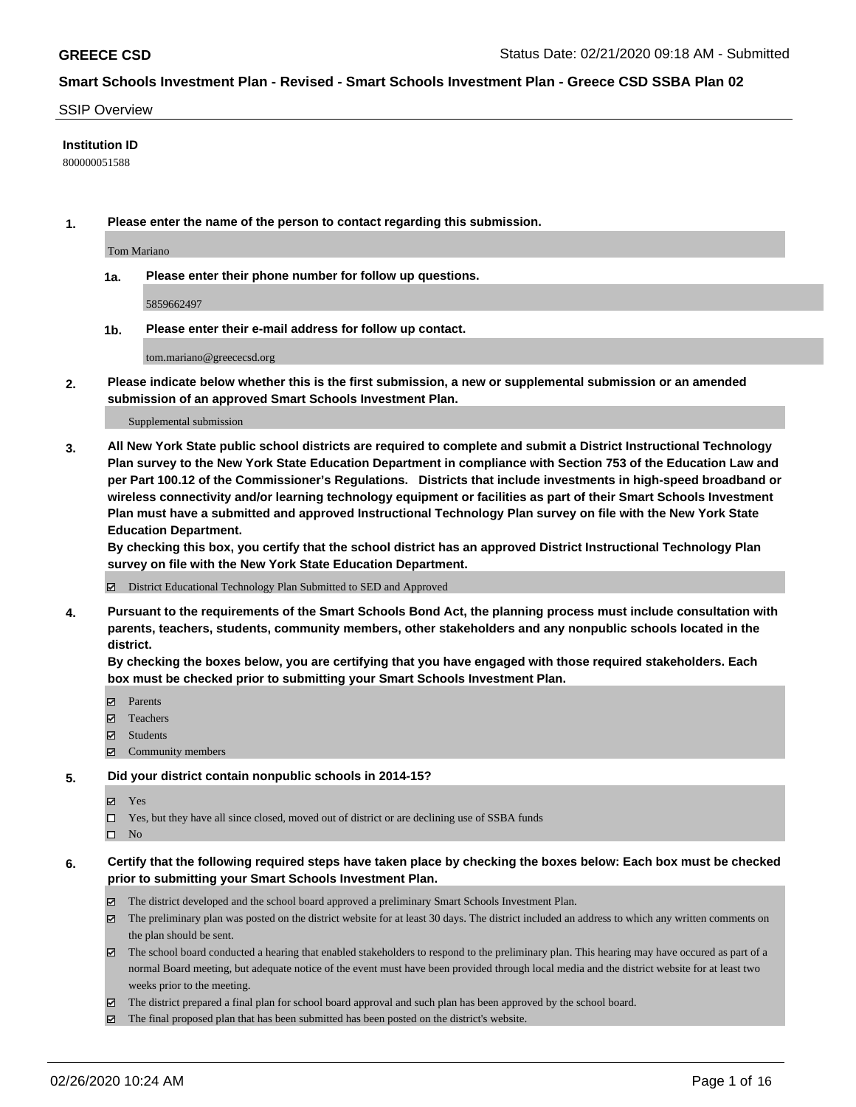#### SSIP Overview

#### **Institution ID**

800000051588

**1. Please enter the name of the person to contact regarding this submission.**

Tom Mariano

**1a. Please enter their phone number for follow up questions.**

5859662497

**1b. Please enter their e-mail address for follow up contact.**

tom.mariano@greececsd.org

**2. Please indicate below whether this is the first submission, a new or supplemental submission or an amended submission of an approved Smart Schools Investment Plan.**

#### Supplemental submission

**3. All New York State public school districts are required to complete and submit a District Instructional Technology Plan survey to the New York State Education Department in compliance with Section 753 of the Education Law and per Part 100.12 of the Commissioner's Regulations. Districts that include investments in high-speed broadband or wireless connectivity and/or learning technology equipment or facilities as part of their Smart Schools Investment Plan must have a submitted and approved Instructional Technology Plan survey on file with the New York State Education Department.** 

**By checking this box, you certify that the school district has an approved District Instructional Technology Plan survey on file with the New York State Education Department.**

District Educational Technology Plan Submitted to SED and Approved

**4. Pursuant to the requirements of the Smart Schools Bond Act, the planning process must include consultation with parents, teachers, students, community members, other stakeholders and any nonpublic schools located in the district.** 

**By checking the boxes below, you are certifying that you have engaged with those required stakeholders. Each box must be checked prior to submitting your Smart Schools Investment Plan.**

- **マ** Parents
- Teachers
- Students
- Community members

#### **5. Did your district contain nonpublic schools in 2014-15?**

**冈** Yes

Yes, but they have all since closed, moved out of district or are declining use of SSBA funds

 $\square$  No

- **6. Certify that the following required steps have taken place by checking the boxes below: Each box must be checked prior to submitting your Smart Schools Investment Plan.**
	- The district developed and the school board approved a preliminary Smart Schools Investment Plan.
	- $\boxtimes$  The preliminary plan was posted on the district website for at least 30 days. The district included an address to which any written comments on the plan should be sent.
	- $\boxtimes$  The school board conducted a hearing that enabled stakeholders to respond to the preliminary plan. This hearing may have occured as part of a normal Board meeting, but adequate notice of the event must have been provided through local media and the district website for at least two weeks prior to the meeting.
	- The district prepared a final plan for school board approval and such plan has been approved by the school board.
	- The final proposed plan that has been submitted has been posted on the district's website.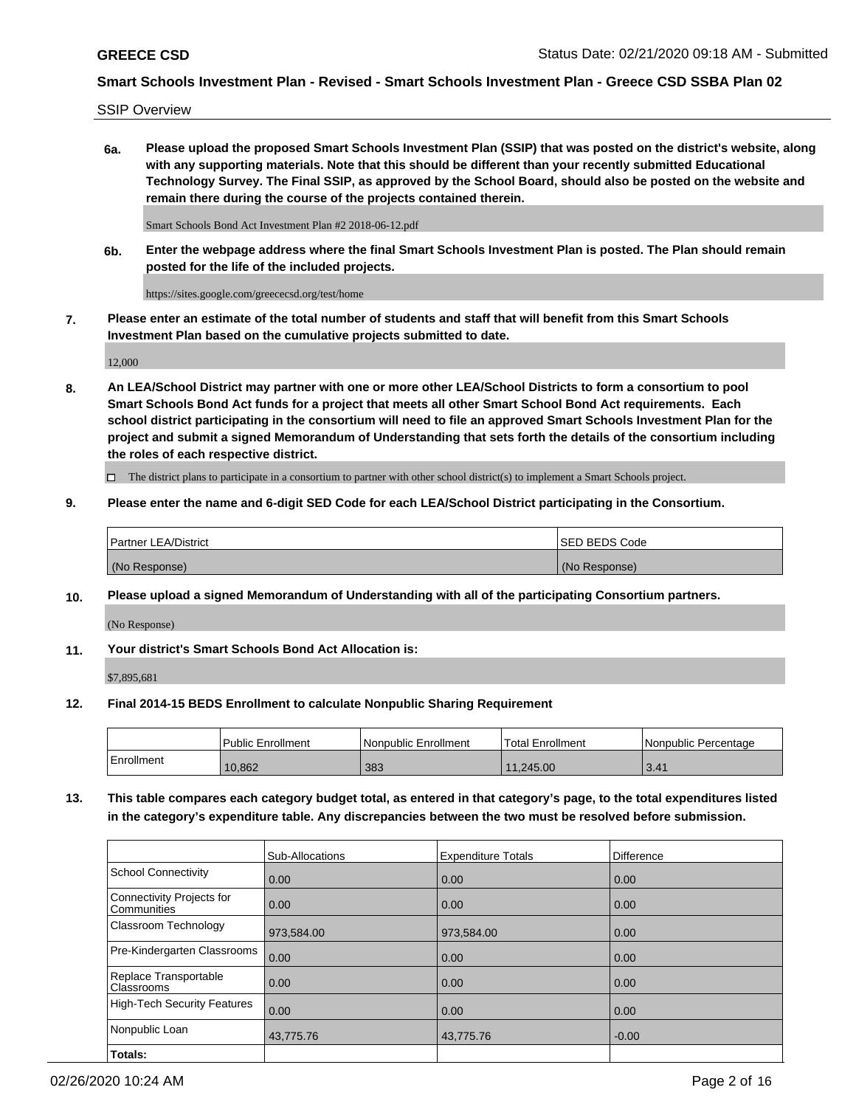SSIP Overview

**6a. Please upload the proposed Smart Schools Investment Plan (SSIP) that was posted on the district's website, along with any supporting materials. Note that this should be different than your recently submitted Educational Technology Survey. The Final SSIP, as approved by the School Board, should also be posted on the website and remain there during the course of the projects contained therein.**

Smart Schools Bond Act Investment Plan #2 2018-06-12.pdf

**6b. Enter the webpage address where the final Smart Schools Investment Plan is posted. The Plan should remain posted for the life of the included projects.**

https://sites.google.com/greececsd.org/test/home

**7. Please enter an estimate of the total number of students and staff that will benefit from this Smart Schools Investment Plan based on the cumulative projects submitted to date.**

12,000

**8. An LEA/School District may partner with one or more other LEA/School Districts to form a consortium to pool Smart Schools Bond Act funds for a project that meets all other Smart School Bond Act requirements. Each school district participating in the consortium will need to file an approved Smart Schools Investment Plan for the project and submit a signed Memorandum of Understanding that sets forth the details of the consortium including the roles of each respective district.**

 $\Box$  The district plans to participate in a consortium to partner with other school district(s) to implement a Smart Schools project.

### **9. Please enter the name and 6-digit SED Code for each LEA/School District participating in the Consortium.**

| Partner LEA/District | <b>ISED BEDS Code</b> |
|----------------------|-----------------------|
| (No Response)        | (No Response)         |

### **10. Please upload a signed Memorandum of Understanding with all of the participating Consortium partners.**

(No Response)

### **11. Your district's Smart Schools Bond Act Allocation is:**

\$7,895,681

### **12. Final 2014-15 BEDS Enrollment to calculate Nonpublic Sharing Requirement**

|            | Public Enrollment | Nonpublic Enrollment | Total Enrollment | I Nonpublic Percentage |
|------------|-------------------|----------------------|------------------|------------------------|
| Enrollment | 10.862            | 383                  | 11.245.00        | 3.41                   |

**13. This table compares each category budget total, as entered in that category's page, to the total expenditures listed in the category's expenditure table. Any discrepancies between the two must be resolved before submission.**

|                                          | Sub-Allocations | <b>Expenditure Totals</b> | <b>Difference</b> |
|------------------------------------------|-----------------|---------------------------|-------------------|
| <b>School Connectivity</b>               | 0.00            | 0.00                      | 0.00              |
| Connectivity Projects for<br>Communities | 0.00            | 0.00                      | 0.00              |
| Classroom Technology                     | 973,584.00      | 973,584.00                | 0.00              |
| Pre-Kindergarten Classrooms              | 0.00            | 0.00                      | 0.00              |
| Replace Transportable<br>Classrooms      | 0.00            | 0.00                      | 0.00              |
| <b>High-Tech Security Features</b>       | 0.00            | 0.00                      | 0.00              |
| Nonpublic Loan                           | 43,775.76       | 43,775.76                 | $-0.00$           |
| Totals:                                  |                 |                           |                   |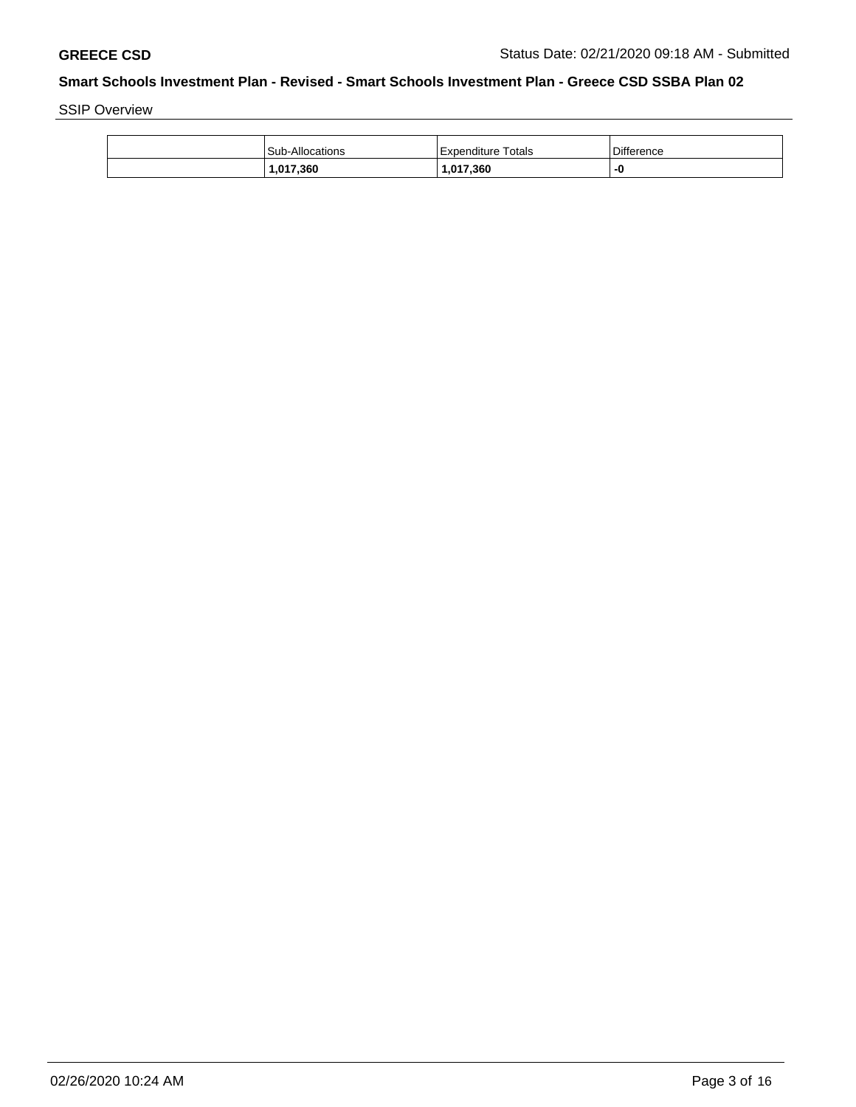SSIP Overview

| 1,017,360       | 1,017,360          |                   |
|-----------------|--------------------|-------------------|
| Sub-Allocations | Expenditure Totals | <b>Difference</b> |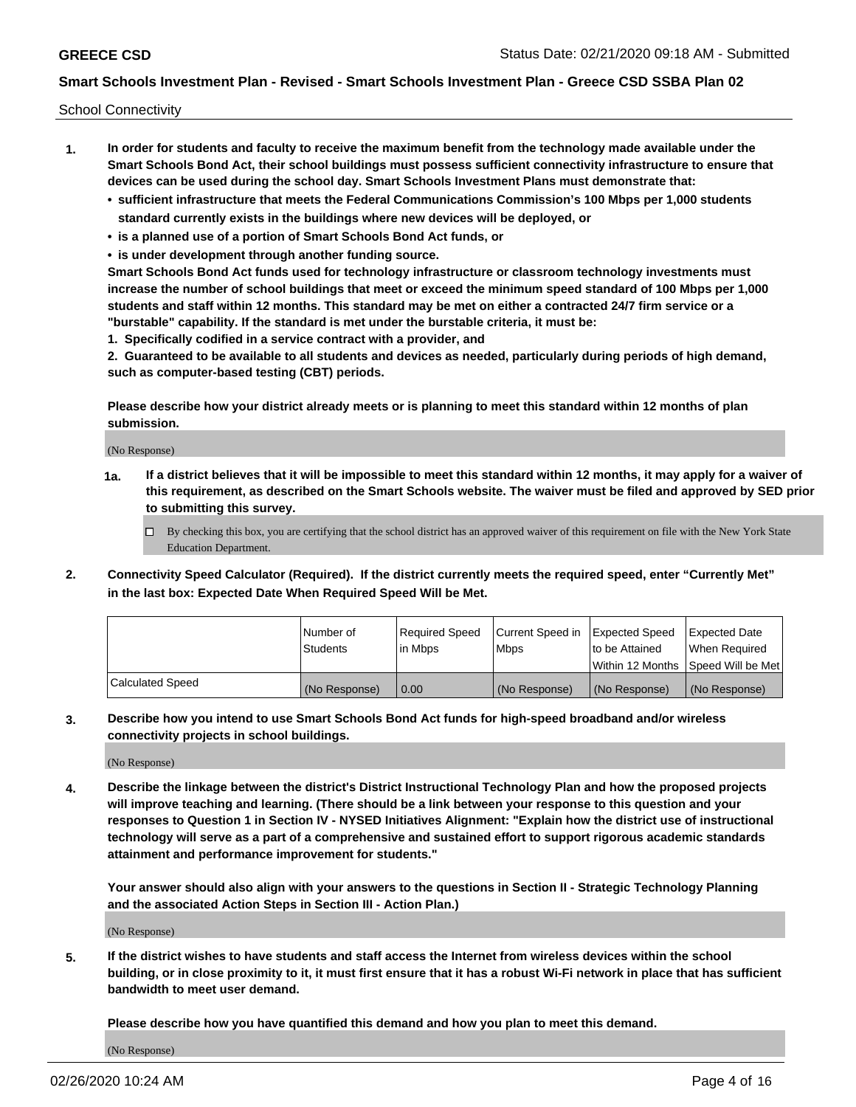School Connectivity

- **1. In order for students and faculty to receive the maximum benefit from the technology made available under the Smart Schools Bond Act, their school buildings must possess sufficient connectivity infrastructure to ensure that devices can be used during the school day. Smart Schools Investment Plans must demonstrate that:**
	- **• sufficient infrastructure that meets the Federal Communications Commission's 100 Mbps per 1,000 students standard currently exists in the buildings where new devices will be deployed, or**
	- **• is a planned use of a portion of Smart Schools Bond Act funds, or**
	- **• is under development through another funding source.**

**Smart Schools Bond Act funds used for technology infrastructure or classroom technology investments must increase the number of school buildings that meet or exceed the minimum speed standard of 100 Mbps per 1,000 students and staff within 12 months. This standard may be met on either a contracted 24/7 firm service or a "burstable" capability. If the standard is met under the burstable criteria, it must be:**

**1. Specifically codified in a service contract with a provider, and**

**2. Guaranteed to be available to all students and devices as needed, particularly during periods of high demand, such as computer-based testing (CBT) periods.**

**Please describe how your district already meets or is planning to meet this standard within 12 months of plan submission.**

(No Response)

**1a. If a district believes that it will be impossible to meet this standard within 12 months, it may apply for a waiver of this requirement, as described on the Smart Schools website. The waiver must be filed and approved by SED prior to submitting this survey.**

 $\Box$  By checking this box, you are certifying that the school district has an approved waiver of this requirement on file with the New York State Education Department.

**2. Connectivity Speed Calculator (Required). If the district currently meets the required speed, enter "Currently Met" in the last box: Expected Date When Required Speed Will be Met.**

|                  | l Number of     | Required Speed | Current Speed in | Expected Speed | Expected Date                           |
|------------------|-----------------|----------------|------------------|----------------|-----------------------------------------|
|                  | <b>Students</b> | In Mbps        | l Mbps           | to be Attained | When Required                           |
|                  |                 |                |                  |                | l Within 12 Months ISpeed Will be Met l |
| Calculated Speed | (No Response)   | 0.00           | (No Response)    | (No Response)  | (No Response)                           |

**3. Describe how you intend to use Smart Schools Bond Act funds for high-speed broadband and/or wireless connectivity projects in school buildings.**

(No Response)

**4. Describe the linkage between the district's District Instructional Technology Plan and how the proposed projects will improve teaching and learning. (There should be a link between your response to this question and your responses to Question 1 in Section IV - NYSED Initiatives Alignment: "Explain how the district use of instructional technology will serve as a part of a comprehensive and sustained effort to support rigorous academic standards attainment and performance improvement for students."** 

**Your answer should also align with your answers to the questions in Section II - Strategic Technology Planning and the associated Action Steps in Section III - Action Plan.)**

(No Response)

**5. If the district wishes to have students and staff access the Internet from wireless devices within the school building, or in close proximity to it, it must first ensure that it has a robust Wi-Fi network in place that has sufficient bandwidth to meet user demand.**

**Please describe how you have quantified this demand and how you plan to meet this demand.**

(No Response)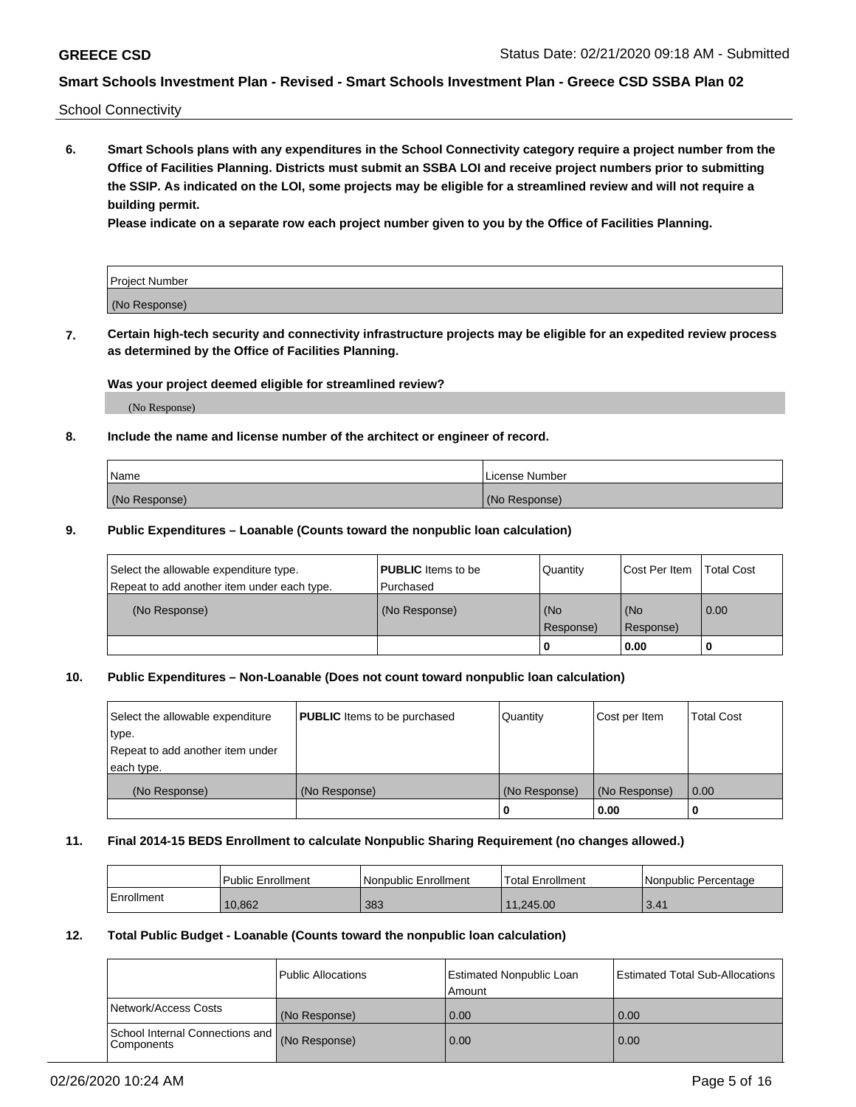School Connectivity

**6. Smart Schools plans with any expenditures in the School Connectivity category require a project number from the Office of Facilities Planning. Districts must submit an SSBA LOI and receive project numbers prior to submitting the SSIP. As indicated on the LOI, some projects may be eligible for a streamlined review and will not require a building permit.**

**Please indicate on a separate row each project number given to you by the Office of Facilities Planning.**

| Project Number |  |
|----------------|--|
| (No Response)  |  |

**7. Certain high-tech security and connectivity infrastructure projects may be eligible for an expedited review process as determined by the Office of Facilities Planning.**

#### **Was your project deemed eligible for streamlined review?**

(No Response)

### **8. Include the name and license number of the architect or engineer of record.**

| Name          | License Number |
|---------------|----------------|
| (No Response) | (No Response)  |

#### **9. Public Expenditures – Loanable (Counts toward the nonpublic loan calculation)**

| Select the allowable expenditure type.<br>Repeat to add another item under each type. | <b>PUBLIC</b> Items to be<br>l Purchased | Quantity           | Cost Per Item    | <b>Total Cost</b> |
|---------------------------------------------------------------------------------------|------------------------------------------|--------------------|------------------|-------------------|
| (No Response)                                                                         | (No Response)                            | l (No<br>Response) | (No<br>Response) | $\overline{0.00}$ |
|                                                                                       |                                          | O                  | 0.00             |                   |

### **10. Public Expenditures – Non-Loanable (Does not count toward nonpublic loan calculation)**

| Select the allowable expenditure<br>type.<br>Repeat to add another item under<br>each type. | <b>PUBLIC</b> Items to be purchased | Quantity      | Cost per Item | <b>Total Cost</b> |
|---------------------------------------------------------------------------------------------|-------------------------------------|---------------|---------------|-------------------|
| (No Response)                                                                               | (No Response)                       | (No Response) | (No Response) | 0.00              |
|                                                                                             |                                     |               | 0.00          |                   |

#### **11. Final 2014-15 BEDS Enrollment to calculate Nonpublic Sharing Requirement (no changes allowed.)**

|            | Public Enrollment | Nonpublic Enrollment | 'Total Enrollment | l Nonpublic Percentage |
|------------|-------------------|----------------------|-------------------|------------------------|
| Enrollment | 10,862            | 383                  | 11.245.00         | 3.41                   |

#### **12. Total Public Budget - Loanable (Counts toward the nonpublic loan calculation)**

|                                                      | Public Allocations | <b>Estimated Nonpublic Loan</b><br>Amount | Estimated Total Sub-Allocations |
|------------------------------------------------------|--------------------|-------------------------------------------|---------------------------------|
| Network/Access Costs                                 | (No Response)      | 0.00                                      | 0.00                            |
| School Internal Connections and<br><b>Components</b> | (No Response)      | 0.00                                      | 0.00                            |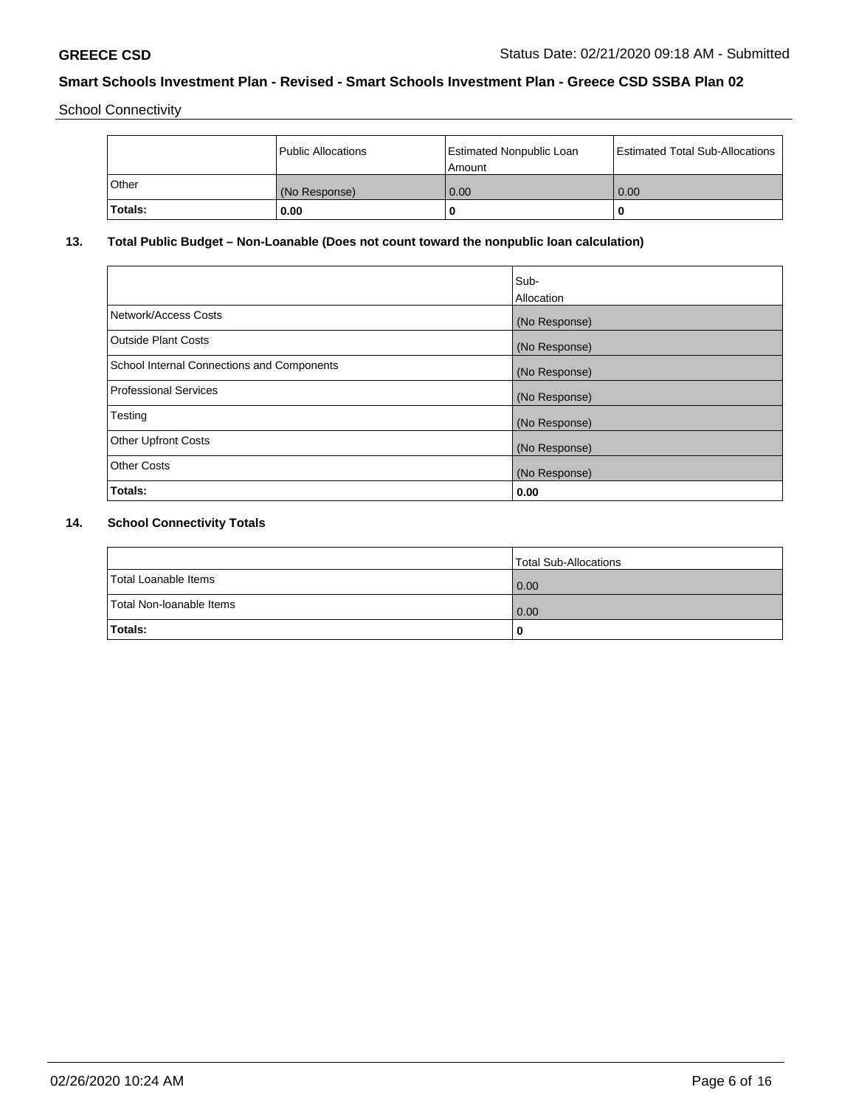School Connectivity

|         | Public Allocations | <b>Estimated Nonpublic Loan</b><br>Amount | <b>Estimated Total Sub-Allocations</b> |
|---------|--------------------|-------------------------------------------|----------------------------------------|
| l Other | (No Response)      | 0.00                                      | 0.00                                   |
| Totals: | 0.00               | 0                                         |                                        |

# **13. Total Public Budget – Non-Loanable (Does not count toward the nonpublic loan calculation)**

|                                                   | Sub-<br>Allocation |
|---------------------------------------------------|--------------------|
| Network/Access Costs                              | (No Response)      |
| Outside Plant Costs                               | (No Response)      |
| <b>School Internal Connections and Components</b> | (No Response)      |
| Professional Services                             | (No Response)      |
| Testing                                           | (No Response)      |
| <b>Other Upfront Costs</b>                        | (No Response)      |
| <b>Other Costs</b>                                | (No Response)      |
| Totals:                                           | 0.00               |

# **14. School Connectivity Totals**

|                          | Total Sub-Allocations |
|--------------------------|-----------------------|
| Total Loanable Items     | 0.00                  |
| Total Non-Ioanable Items | 0.00                  |
| Totals:                  | 0                     |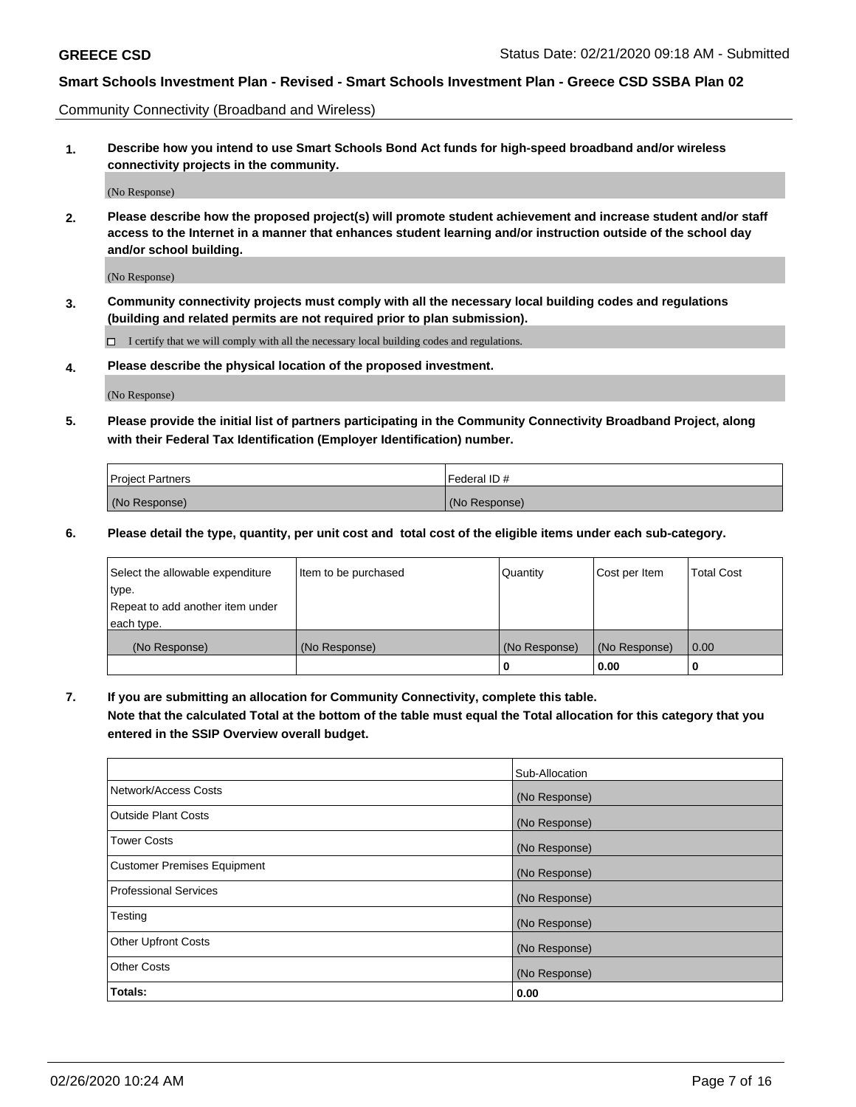Community Connectivity (Broadband and Wireless)

**1. Describe how you intend to use Smart Schools Bond Act funds for high-speed broadband and/or wireless connectivity projects in the community.**

(No Response)

**2. Please describe how the proposed project(s) will promote student achievement and increase student and/or staff access to the Internet in a manner that enhances student learning and/or instruction outside of the school day and/or school building.**

(No Response)

**3. Community connectivity projects must comply with all the necessary local building codes and regulations (building and related permits are not required prior to plan submission).**

 $\Box$  I certify that we will comply with all the necessary local building codes and regulations.

**4. Please describe the physical location of the proposed investment.**

(No Response)

**5. Please provide the initial list of partners participating in the Community Connectivity Broadband Project, along with their Federal Tax Identification (Employer Identification) number.**

| <b>Project Partners</b> | l Federal ID # |
|-------------------------|----------------|
| (No Response)           | (No Response)  |

**6. Please detail the type, quantity, per unit cost and total cost of the eligible items under each sub-category.**

| Select the allowable expenditure | Item to be purchased | Quantity      | Cost per Item | <b>Total Cost</b> |
|----------------------------------|----------------------|---------------|---------------|-------------------|
| type.                            |                      |               |               |                   |
| Repeat to add another item under |                      |               |               |                   |
| each type.                       |                      |               |               |                   |
| (No Response)                    | (No Response)        | (No Response) | (No Response) | 0.00              |
|                                  |                      | o             | 0.00          |                   |

**7. If you are submitting an allocation for Community Connectivity, complete this table.**

**Note that the calculated Total at the bottom of the table must equal the Total allocation for this category that you entered in the SSIP Overview overall budget.**

|                                    | Sub-Allocation |
|------------------------------------|----------------|
| Network/Access Costs               | (No Response)  |
| Outside Plant Costs                | (No Response)  |
| <b>Tower Costs</b>                 | (No Response)  |
| <b>Customer Premises Equipment</b> | (No Response)  |
| <b>Professional Services</b>       | (No Response)  |
| Testing                            | (No Response)  |
| <b>Other Upfront Costs</b>         | (No Response)  |
| <b>Other Costs</b>                 | (No Response)  |
| Totals:                            | 0.00           |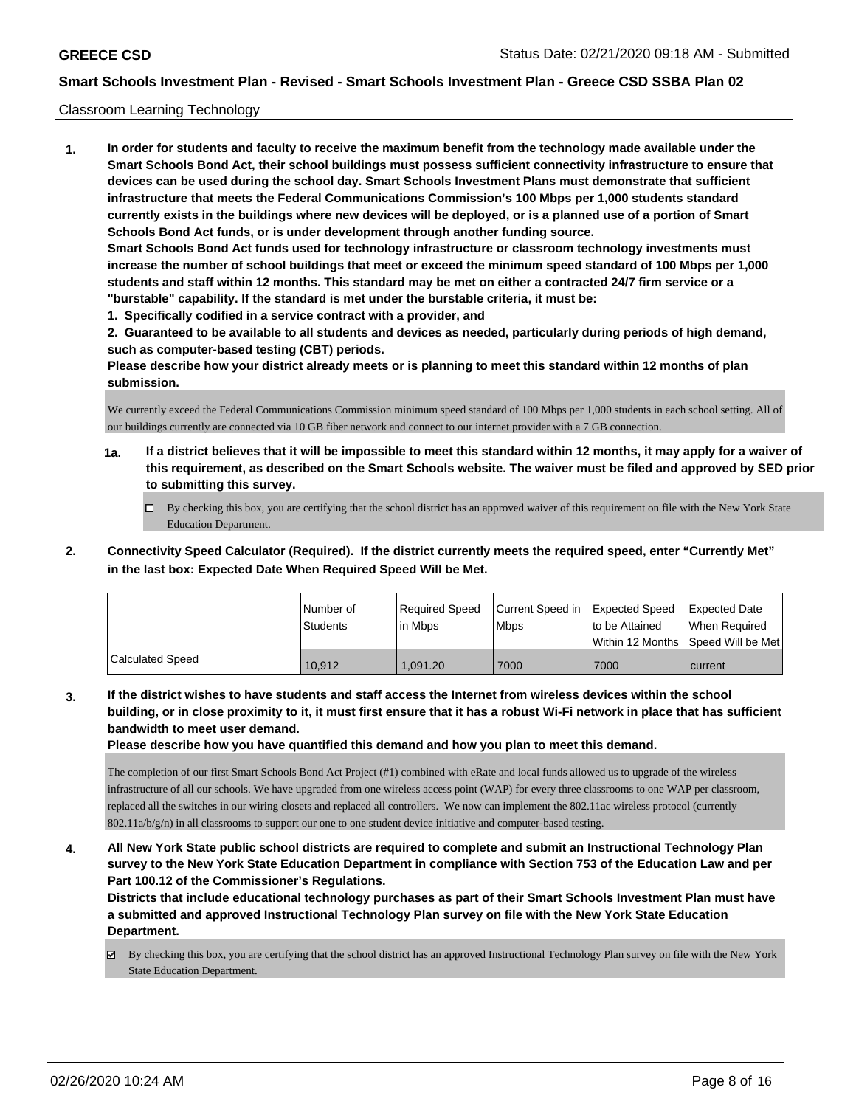#### Classroom Learning Technology

**1. In order for students and faculty to receive the maximum benefit from the technology made available under the Smart Schools Bond Act, their school buildings must possess sufficient connectivity infrastructure to ensure that devices can be used during the school day. Smart Schools Investment Plans must demonstrate that sufficient infrastructure that meets the Federal Communications Commission's 100 Mbps per 1,000 students standard currently exists in the buildings where new devices will be deployed, or is a planned use of a portion of Smart Schools Bond Act funds, or is under development through another funding source. Smart Schools Bond Act funds used for technology infrastructure or classroom technology investments must increase the number of school buildings that meet or exceed the minimum speed standard of 100 Mbps per 1,000 students and staff within 12 months. This standard may be met on either a contracted 24/7 firm service or a "burstable" capability. If the standard is met under the burstable criteria, it must be:**

**1. Specifically codified in a service contract with a provider, and**

**2. Guaranteed to be available to all students and devices as needed, particularly during periods of high demand, such as computer-based testing (CBT) periods.**

**Please describe how your district already meets or is planning to meet this standard within 12 months of plan submission.**

We currently exceed the Federal Communications Commission minimum speed standard of 100 Mbps per 1,000 students in each school setting. All of our buildings currently are connected via 10 GB fiber network and connect to our internet provider with a 7 GB connection.

- **1a. If a district believes that it will be impossible to meet this standard within 12 months, it may apply for a waiver of this requirement, as described on the Smart Schools website. The waiver must be filed and approved by SED prior to submitting this survey.**
	- By checking this box, you are certifying that the school district has an approved waiver of this requirement on file with the New York State Education Department.
- **2. Connectivity Speed Calculator (Required). If the district currently meets the required speed, enter "Currently Met" in the last box: Expected Date When Required Speed Will be Met.**

|                         | l Number of<br>Students | Required Speed<br>l in Mbps | Current Speed in<br>l Mbps | <b>Expected Speed</b><br>to be Attained | <b>Expected Date</b><br>When Required<br> Within 12 Months  Speed Will be Met |
|-------------------------|-------------------------|-----------------------------|----------------------------|-----------------------------------------|-------------------------------------------------------------------------------|
| <b>Calculated Speed</b> | 10.912                  | 1.091.20                    | 7000                       | 7000                                    | current                                                                       |

**3. If the district wishes to have students and staff access the Internet from wireless devices within the school building, or in close proximity to it, it must first ensure that it has a robust Wi-Fi network in place that has sufficient bandwidth to meet user demand.**

**Please describe how you have quantified this demand and how you plan to meet this demand.**

The completion of our first Smart Schools Bond Act Project (#1) combined with eRate and local funds allowed us to upgrade of the wireless infrastructure of all our schools. We have upgraded from one wireless access point (WAP) for every three classrooms to one WAP per classroom, replaced all the switches in our wiring closets and replaced all controllers. We now can implement the 802.11ac wireless protocol (currently 802.11a/b/g/n) in all classrooms to support our one to one student device initiative and computer-based testing.

**4. All New York State public school districts are required to complete and submit an Instructional Technology Plan survey to the New York State Education Department in compliance with Section 753 of the Education Law and per Part 100.12 of the Commissioner's Regulations.**

**Districts that include educational technology purchases as part of their Smart Schools Investment Plan must have a submitted and approved Instructional Technology Plan survey on file with the New York State Education Department.**

By checking this box, you are certifying that the school district has an approved Instructional Technology Plan survey on file with the New York State Education Department.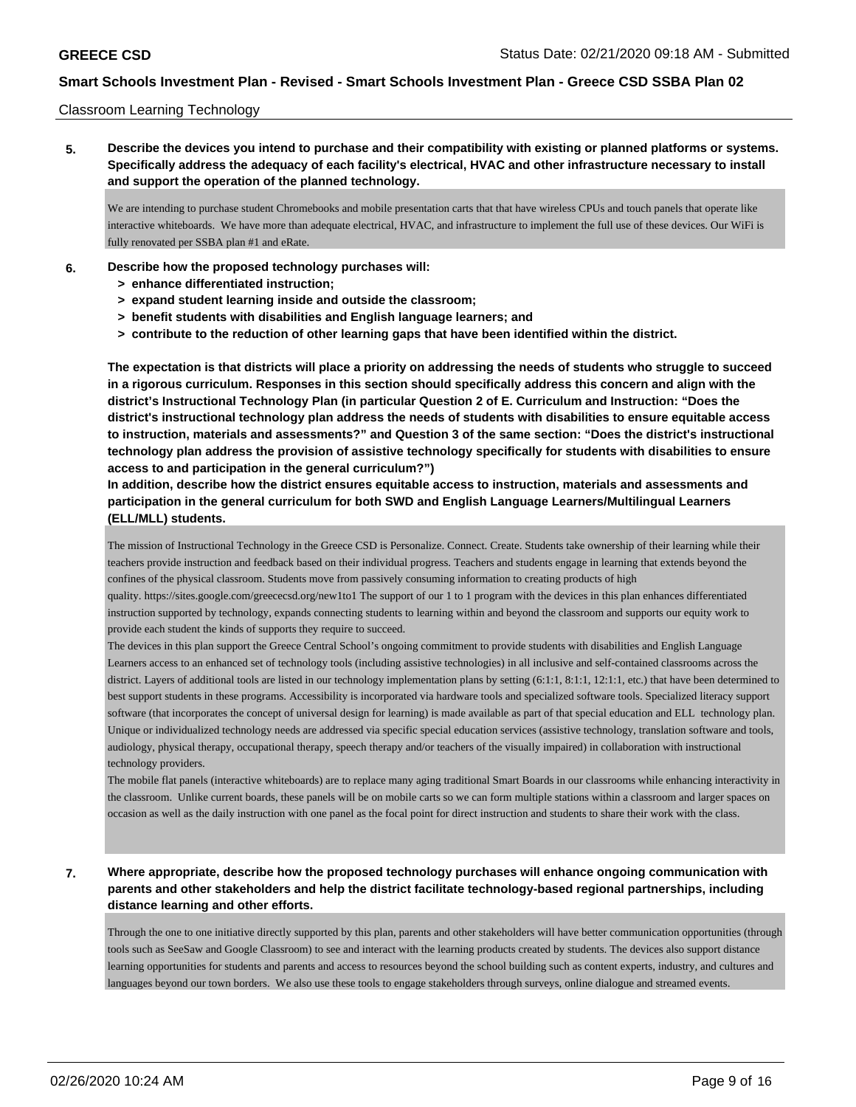#### Classroom Learning Technology

**5. Describe the devices you intend to purchase and their compatibility with existing or planned platforms or systems. Specifically address the adequacy of each facility's electrical, HVAC and other infrastructure necessary to install and support the operation of the planned technology.**

We are intending to purchase student Chromebooks and mobile presentation carts that that have wireless CPUs and touch panels that operate like interactive whiteboards. We have more than adequate electrical, HVAC, and infrastructure to implement the full use of these devices. Our WiFi is fully renovated per SSBA plan #1 and eRate.

- **6. Describe how the proposed technology purchases will:**
	- **> enhance differentiated instruction;**
	- **> expand student learning inside and outside the classroom;**
	- **> benefit students with disabilities and English language learners; and**
	- **> contribute to the reduction of other learning gaps that have been identified within the district.**

**The expectation is that districts will place a priority on addressing the needs of students who struggle to succeed in a rigorous curriculum. Responses in this section should specifically address this concern and align with the district's Instructional Technology Plan (in particular Question 2 of E. Curriculum and Instruction: "Does the district's instructional technology plan address the needs of students with disabilities to ensure equitable access to instruction, materials and assessments?" and Question 3 of the same section: "Does the district's instructional technology plan address the provision of assistive technology specifically for students with disabilities to ensure access to and participation in the general curriculum?")**

**In addition, describe how the district ensures equitable access to instruction, materials and assessments and participation in the general curriculum for both SWD and English Language Learners/Multilingual Learners (ELL/MLL) students.**

The mission of Instructional Technology in the Greece CSD is Personalize. Connect. Create. Students take ownership of their learning while their teachers provide instruction and feedback based on their individual progress. Teachers and students engage in learning that extends beyond the confines of the physical classroom. Students move from passively consuming information to creating products of high

quality. https://sites.google.com/greececsd.org/new1to1 The support of our 1 to 1 program with the devices in this plan enhances differentiated instruction supported by technology, expands connecting students to learning within and beyond the classroom and supports our equity work to provide each student the kinds of supports they require to succeed.

The devices in this plan support the Greece Central School's ongoing commitment to provide students with disabilities and English Language Learners access to an enhanced set of technology tools (including assistive technologies) in all inclusive and self-contained classrooms across the district. Layers of additional tools are listed in our technology implementation plans by setting (6:1:1, 8:1:1, 12:1:1, etc.) that have been determined to best support students in these programs. Accessibility is incorporated via hardware tools and specialized software tools. Specialized literacy support software (that incorporates the concept of universal design for learning) is made available as part of that special education and ELL technology plan. Unique or individualized technology needs are addressed via specific special education services (assistive technology, translation software and tools, audiology, physical therapy, occupational therapy, speech therapy and/or teachers of the visually impaired) in collaboration with instructional technology providers.

The mobile flat panels (interactive whiteboards) are to replace many aging traditional Smart Boards in our classrooms while enhancing interactivity in the classroom. Unlike current boards, these panels will be on mobile carts so we can form multiple stations within a classroom and larger spaces on occasion as well as the daily instruction with one panel as the focal point for direct instruction and students to share their work with the class.

### **7. Where appropriate, describe how the proposed technology purchases will enhance ongoing communication with parents and other stakeholders and help the district facilitate technology-based regional partnerships, including distance learning and other efforts.**

Through the one to one initiative directly supported by this plan, parents and other stakeholders will have better communication opportunities (through tools such as SeeSaw and Google Classroom) to see and interact with the learning products created by students. The devices also support distance learning opportunities for students and parents and access to resources beyond the school building such as content experts, industry, and cultures and languages beyond our town borders. We also use these tools to engage stakeholders through surveys, online dialogue and streamed events.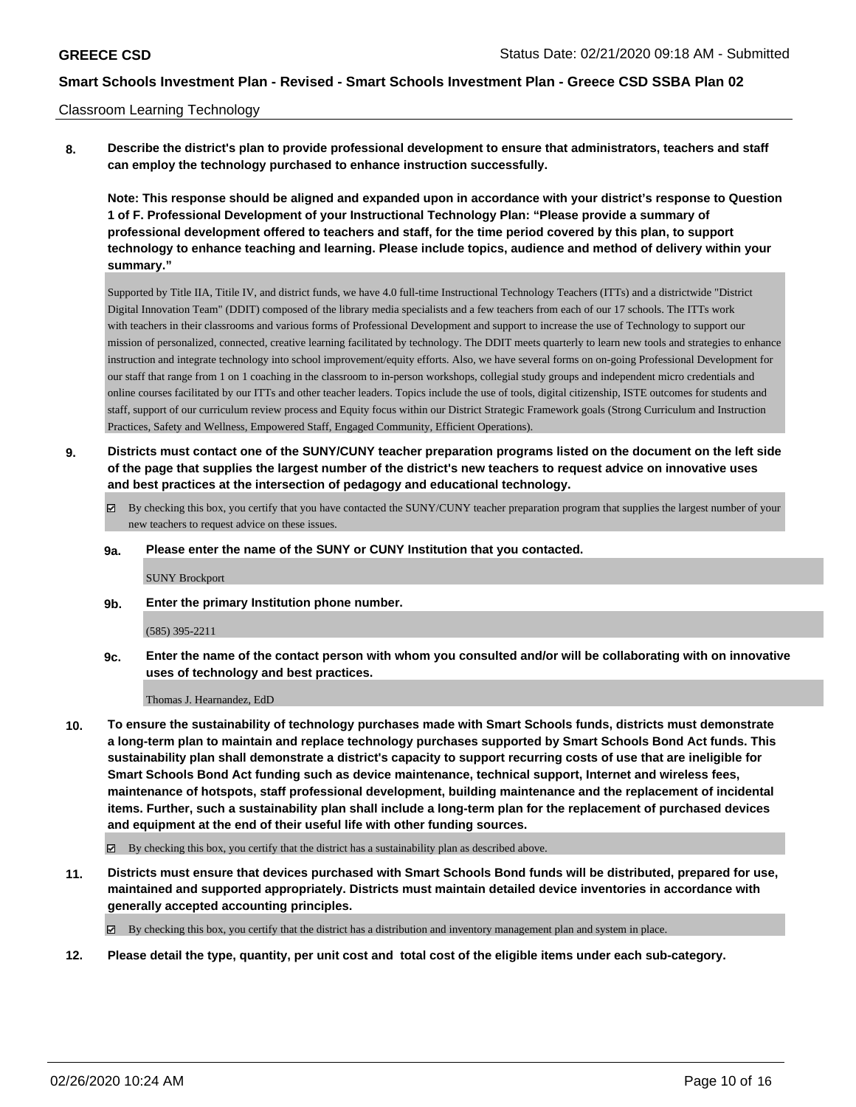#### Classroom Learning Technology

**8. Describe the district's plan to provide professional development to ensure that administrators, teachers and staff can employ the technology purchased to enhance instruction successfully.**

**Note: This response should be aligned and expanded upon in accordance with your district's response to Question 1 of F. Professional Development of your Instructional Technology Plan: "Please provide a summary of professional development offered to teachers and staff, for the time period covered by this plan, to support technology to enhance teaching and learning. Please include topics, audience and method of delivery within your summary."**

Supported by Title IIA, Titile IV, and district funds, we have 4.0 full-time Instructional Technology Teachers (ITTs) and a districtwide "District Digital Innovation Team" (DDIT) composed of the library media specialists and a few teachers from each of our 17 schools. The ITTs work with teachers in their classrooms and various forms of Professional Development and support to increase the use of Technology to support our mission of personalized, connected, creative learning facilitated by technology. The DDIT meets quarterly to learn new tools and strategies to enhance instruction and integrate technology into school improvement/equity efforts. Also, we have several forms on on-going Professional Development for our staff that range from 1 on 1 coaching in the classroom to in-person workshops, collegial study groups and independent micro credentials and online courses facilitated by our ITTs and other teacher leaders. Topics include the use of tools, digital citizenship, ISTE outcomes for students and staff, support of our curriculum review process and Equity focus within our District Strategic Framework goals (Strong Curriculum and Instruction Practices, Safety and Wellness, Empowered Staff, Engaged Community, Efficient Operations).

- **9. Districts must contact one of the SUNY/CUNY teacher preparation programs listed on the document on the left side of the page that supplies the largest number of the district's new teachers to request advice on innovative uses and best practices at the intersection of pedagogy and educational technology.**
	- By checking this box, you certify that you have contacted the SUNY/CUNY teacher preparation program that supplies the largest number of your new teachers to request advice on these issues.

#### **9a. Please enter the name of the SUNY or CUNY Institution that you contacted.**

SUNY Brockport

**9b. Enter the primary Institution phone number.**

#### (585) 395-2211

**9c. Enter the name of the contact person with whom you consulted and/or will be collaborating with on innovative uses of technology and best practices.**

Thomas J. Hearnandez, EdD

- **10. To ensure the sustainability of technology purchases made with Smart Schools funds, districts must demonstrate a long-term plan to maintain and replace technology purchases supported by Smart Schools Bond Act funds. This sustainability plan shall demonstrate a district's capacity to support recurring costs of use that are ineligible for Smart Schools Bond Act funding such as device maintenance, technical support, Internet and wireless fees, maintenance of hotspots, staff professional development, building maintenance and the replacement of incidental items. Further, such a sustainability plan shall include a long-term plan for the replacement of purchased devices and equipment at the end of their useful life with other funding sources.**
	- $\boxtimes$  By checking this box, you certify that the district has a sustainability plan as described above.
- **11. Districts must ensure that devices purchased with Smart Schools Bond funds will be distributed, prepared for use, maintained and supported appropriately. Districts must maintain detailed device inventories in accordance with generally accepted accounting principles.**

By checking this box, you certify that the district has a distribution and inventory management plan and system in place.

**12. Please detail the type, quantity, per unit cost and total cost of the eligible items under each sub-category.**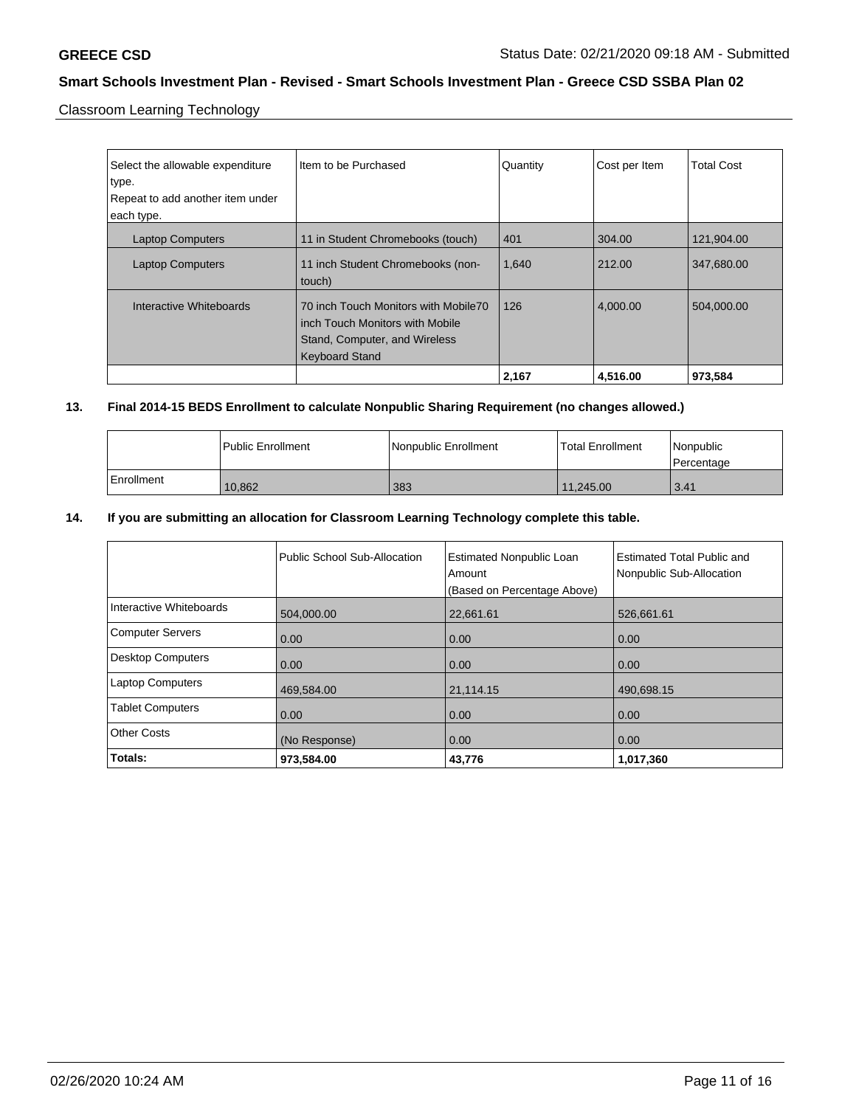Classroom Learning Technology

| Select the allowable expenditure<br>type.<br>Repeat to add another item under<br>each type. | Item to be Purchased                                                                                                              | Quantity | Cost per Item | <b>Total Cost</b> |
|---------------------------------------------------------------------------------------------|-----------------------------------------------------------------------------------------------------------------------------------|----------|---------------|-------------------|
| <b>Laptop Computers</b>                                                                     | 11 in Student Chromebooks (touch)                                                                                                 | 401      | 304.00        | 121,904.00        |
| <b>Laptop Computers</b>                                                                     | 11 inch Student Chromebooks (non-<br>touch)                                                                                       | 1,640    | 212.00        | 347,680.00        |
| Interactive Whiteboards                                                                     | 70 inch Touch Monitors with Mobile70<br>inch Touch Monitors with Mobile<br>Stand, Computer, and Wireless<br><b>Keyboard Stand</b> | 126      | 4,000.00      | 504.000.00        |
|                                                                                             |                                                                                                                                   | 2,167    | 4,516.00      | 973,584           |

### **13. Final 2014-15 BEDS Enrollment to calculate Nonpublic Sharing Requirement (no changes allowed.)**

|            | Public Enrollment | Nonpublic Enrollment | <b>Total Enrollment</b> | <i>Nonpublic</i><br>l Percentage |
|------------|-------------------|----------------------|-------------------------|----------------------------------|
| Enrollment | 10.862            | 383                  | 11.245.00               | 3.41                             |

### **14. If you are submitting an allocation for Classroom Learning Technology complete this table.**

|                         | Public School Sub-Allocation | <b>Estimated Nonpublic Loan</b><br>Amount<br>(Based on Percentage Above) | <b>Estimated Total Public and</b><br>Nonpublic Sub-Allocation |
|-------------------------|------------------------------|--------------------------------------------------------------------------|---------------------------------------------------------------|
| Interactive Whiteboards | 504,000.00                   | 22,661.61                                                                | 526,661.61                                                    |
| Computer Servers        | 0.00                         | 0.00                                                                     | 0.00                                                          |
| Desktop Computers       | 0.00                         | 0.00                                                                     | 0.00                                                          |
| <b>Laptop Computers</b> | 469,584.00                   | 21,114.15                                                                | 490,698.15                                                    |
| <b>Tablet Computers</b> | 0.00                         | 0.00                                                                     | 0.00                                                          |
| <b>Other Costs</b>      | (No Response)                | 0.00                                                                     | 0.00                                                          |
| Totals:                 | 973,584.00                   | 43,776                                                                   | 1,017,360                                                     |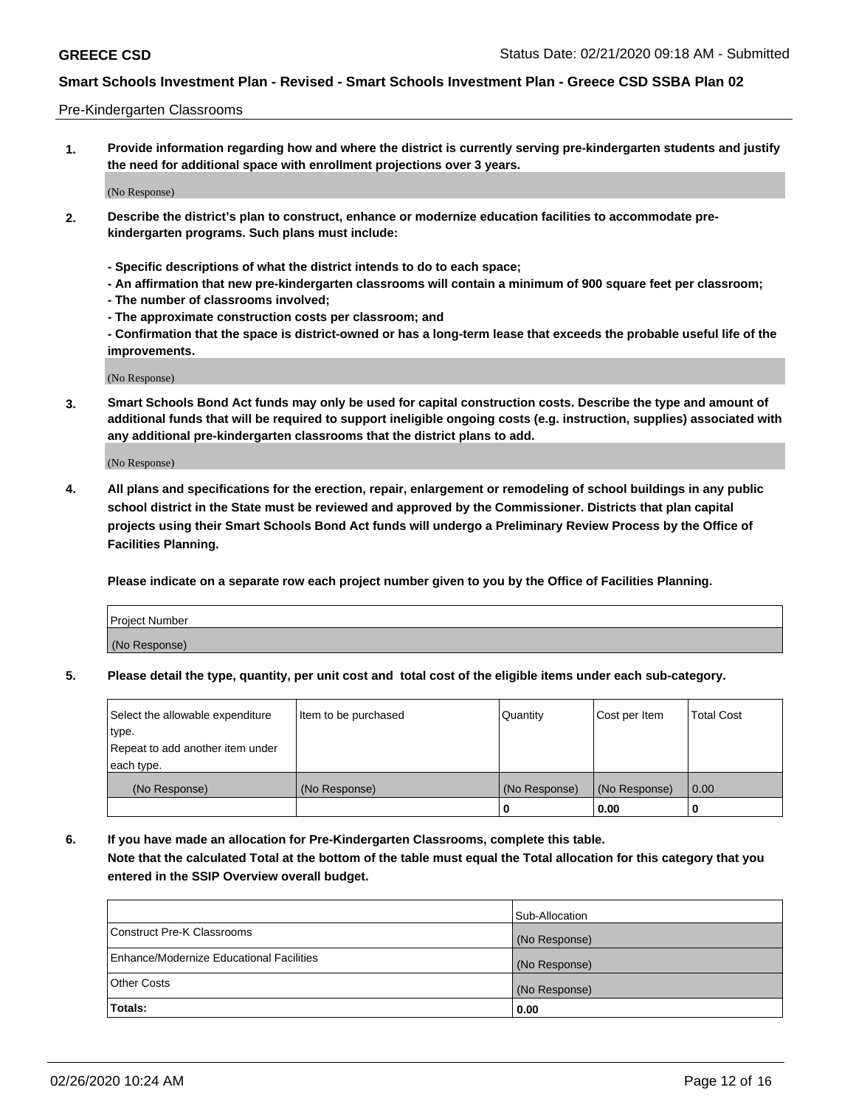#### Pre-Kindergarten Classrooms

**1. Provide information regarding how and where the district is currently serving pre-kindergarten students and justify the need for additional space with enrollment projections over 3 years.**

(No Response)

- **2. Describe the district's plan to construct, enhance or modernize education facilities to accommodate prekindergarten programs. Such plans must include:**
	- **Specific descriptions of what the district intends to do to each space;**
	- **An affirmation that new pre-kindergarten classrooms will contain a minimum of 900 square feet per classroom;**
	- **The number of classrooms involved;**
	- **The approximate construction costs per classroom; and**
	- **Confirmation that the space is district-owned or has a long-term lease that exceeds the probable useful life of the improvements.**

(No Response)

**3. Smart Schools Bond Act funds may only be used for capital construction costs. Describe the type and amount of additional funds that will be required to support ineligible ongoing costs (e.g. instruction, supplies) associated with any additional pre-kindergarten classrooms that the district plans to add.**

(No Response)

**4. All plans and specifications for the erection, repair, enlargement or remodeling of school buildings in any public school district in the State must be reviewed and approved by the Commissioner. Districts that plan capital projects using their Smart Schools Bond Act funds will undergo a Preliminary Review Process by the Office of Facilities Planning.**

**Please indicate on a separate row each project number given to you by the Office of Facilities Planning.**

| Project Number |  |
|----------------|--|
| (No Response)  |  |
|                |  |

**5. Please detail the type, quantity, per unit cost and total cost of the eligible items under each sub-category.**

| Select the allowable expenditure | Item to be purchased | Quantity      | Cost per Item | <b>Total Cost</b> |
|----------------------------------|----------------------|---------------|---------------|-------------------|
| type.                            |                      |               |               |                   |
| Repeat to add another item under |                      |               |               |                   |
| each type.                       |                      |               |               |                   |
| (No Response)                    | (No Response)        | (No Response) | (No Response) | 0.00              |
|                                  |                      | U             | 0.00          |                   |

**6. If you have made an allocation for Pre-Kindergarten Classrooms, complete this table. Note that the calculated Total at the bottom of the table must equal the Total allocation for this category that you entered in the SSIP Overview overall budget.**

|                                          | Sub-Allocation |
|------------------------------------------|----------------|
| Construct Pre-K Classrooms               | (No Response)  |
| Enhance/Modernize Educational Facilities | (No Response)  |
| <b>Other Costs</b>                       | (No Response)  |
| Totals:                                  | 0.00           |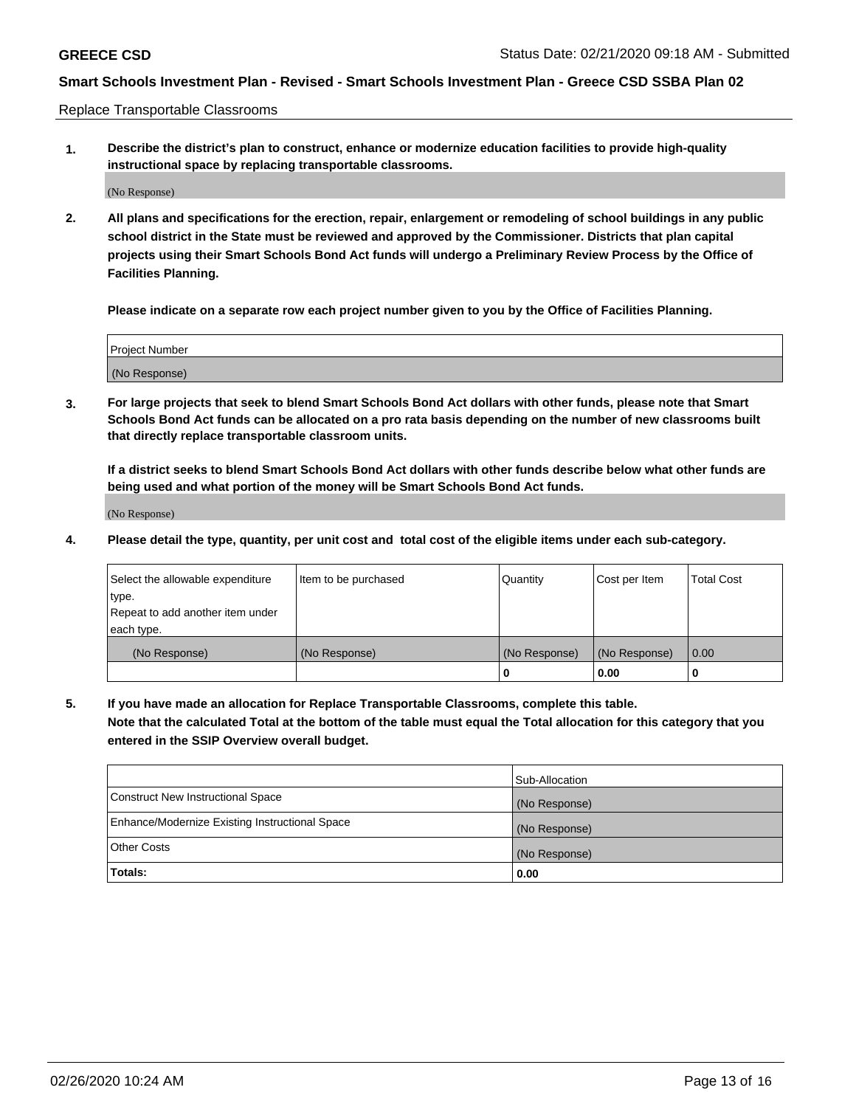Replace Transportable Classrooms

**1. Describe the district's plan to construct, enhance or modernize education facilities to provide high-quality instructional space by replacing transportable classrooms.**

(No Response)

**2. All plans and specifications for the erection, repair, enlargement or remodeling of school buildings in any public school district in the State must be reviewed and approved by the Commissioner. Districts that plan capital projects using their Smart Schools Bond Act funds will undergo a Preliminary Review Process by the Office of Facilities Planning.**

**Please indicate on a separate row each project number given to you by the Office of Facilities Planning.**

| Project Number |  |
|----------------|--|
|                |  |
|                |  |
|                |  |
| (No Response)  |  |
|                |  |
|                |  |

**3. For large projects that seek to blend Smart Schools Bond Act dollars with other funds, please note that Smart Schools Bond Act funds can be allocated on a pro rata basis depending on the number of new classrooms built that directly replace transportable classroom units.**

**If a district seeks to blend Smart Schools Bond Act dollars with other funds describe below what other funds are being used and what portion of the money will be Smart Schools Bond Act funds.**

(No Response)

**4. Please detail the type, quantity, per unit cost and total cost of the eligible items under each sub-category.**

| Select the allowable expenditure | Item to be purchased | Quantity      | Cost per Item | Total Cost |
|----------------------------------|----------------------|---------------|---------------|------------|
| ∣type.                           |                      |               |               |            |
| Repeat to add another item under |                      |               |               |            |
| each type.                       |                      |               |               |            |
| (No Response)                    | (No Response)        | (No Response) | (No Response) | 0.00       |
|                                  |                      | u             | 0.00          |            |

**5. If you have made an allocation for Replace Transportable Classrooms, complete this table. Note that the calculated Total at the bottom of the table must equal the Total allocation for this category that you entered in the SSIP Overview overall budget.**

|                                                | Sub-Allocation |
|------------------------------------------------|----------------|
| Construct New Instructional Space              | (No Response)  |
| Enhance/Modernize Existing Instructional Space | (No Response)  |
| Other Costs                                    | (No Response)  |
| Totals:                                        | 0.00           |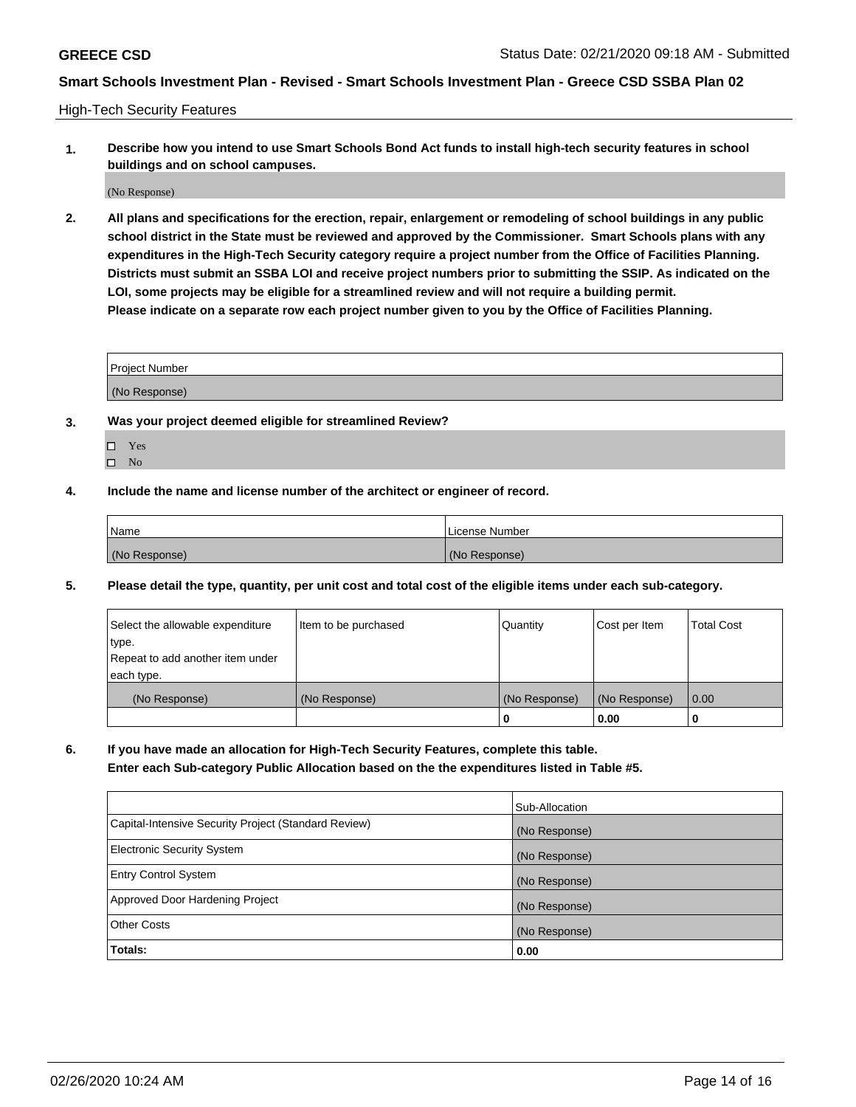High-Tech Security Features

**1. Describe how you intend to use Smart Schools Bond Act funds to install high-tech security features in school buildings and on school campuses.**

(No Response)

**2. All plans and specifications for the erection, repair, enlargement or remodeling of school buildings in any public school district in the State must be reviewed and approved by the Commissioner. Smart Schools plans with any expenditures in the High-Tech Security category require a project number from the Office of Facilities Planning. Districts must submit an SSBA LOI and receive project numbers prior to submitting the SSIP. As indicated on the LOI, some projects may be eligible for a streamlined review and will not require a building permit. Please indicate on a separate row each project number given to you by the Office of Facilities Planning.**

| <b>Project Number</b> |  |
|-----------------------|--|
| (No Response)         |  |

- **3. Was your project deemed eligible for streamlined Review?**
	- Yes
	- $\hfill \square$  No
- **4. Include the name and license number of the architect or engineer of record.**

| Name          | License Number |
|---------------|----------------|
| (No Response) | (No Response)  |

**5. Please detail the type, quantity, per unit cost and total cost of the eligible items under each sub-category.**

| Select the allowable expenditure | Item to be purchased | Quantity      | Cost per Item | <b>Total Cost</b> |
|----------------------------------|----------------------|---------------|---------------|-------------------|
| type.                            |                      |               |               |                   |
| Repeat to add another item under |                      |               |               |                   |
| each type.                       |                      |               |               |                   |
| (No Response)                    | (No Response)        | (No Response) | (No Response) | 0.00              |
|                                  |                      | 0             | 0.00          |                   |

**6. If you have made an allocation for High-Tech Security Features, complete this table.**

**Enter each Sub-category Public Allocation based on the the expenditures listed in Table #5.**

|                                                      | Sub-Allocation |
|------------------------------------------------------|----------------|
| Capital-Intensive Security Project (Standard Review) | (No Response)  |
| <b>Electronic Security System</b>                    | (No Response)  |
| <b>Entry Control System</b>                          | (No Response)  |
| Approved Door Hardening Project                      | (No Response)  |
| <b>Other Costs</b>                                   | (No Response)  |
| Totals:                                              | 0.00           |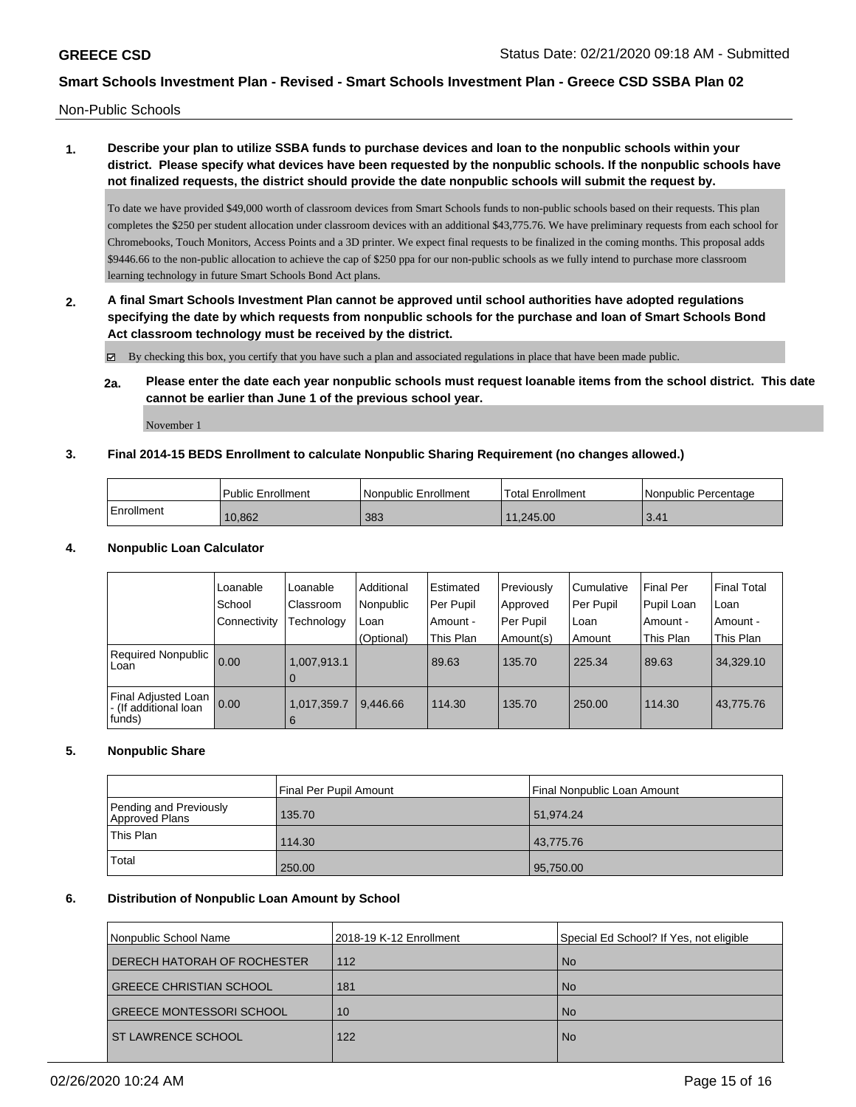Non-Public Schools

### **1. Describe your plan to utilize SSBA funds to purchase devices and loan to the nonpublic schools within your district. Please specify what devices have been requested by the nonpublic schools. If the nonpublic schools have not finalized requests, the district should provide the date nonpublic schools will submit the request by.**

To date we have provided \$49,000 worth of classroom devices from Smart Schools funds to non-public schools based on their requests. This plan completes the \$250 per student allocation under classroom devices with an additional \$43,775.76. We have preliminary requests from each school for Chromebooks, Touch Monitors, Access Points and a 3D printer. We expect final requests to be finalized in the coming months. This proposal adds \$9446.66 to the non-public allocation to achieve the cap of \$250 ppa for our non-public schools as we fully intend to purchase more classroom learning technology in future Smart Schools Bond Act plans.

**2. A final Smart Schools Investment Plan cannot be approved until school authorities have adopted regulations specifying the date by which requests from nonpublic schools for the purchase and loan of Smart Schools Bond Act classroom technology must be received by the district.**

By checking this box, you certify that you have such a plan and associated regulations in place that have been made public.

**2a. Please enter the date each year nonpublic schools must request loanable items from the school district. This date cannot be earlier than June 1 of the previous school year.**

November 1

### **3. Final 2014-15 BEDS Enrollment to calculate Nonpublic Sharing Requirement (no changes allowed.)**

|              | <b>Public Enrollment</b> | <b>Nonpublic Enrollment</b> | Total Enrollment | Nonpublic Percentage |
|--------------|--------------------------|-----------------------------|------------------|----------------------|
| l Enrollment | 10.862                   | 383                         | 11.245.00        | 3.41                 |

#### **4. Nonpublic Loan Calculator**

|                                                        | Loanable<br>School<br>Connectivity | Loanable<br>Classroom<br>Technology | Additional<br>Nonpublic<br>Loan | Estimated<br>Per Pupil<br>Amount - | Previously<br>Approved<br>Per Pupil | l Cumulative<br>Per Pupil<br>l Loan | <b>Final Per</b><br>Pupil Loan<br>Amount - | l Final Total<br>l Loan<br>l Amount - |
|--------------------------------------------------------|------------------------------------|-------------------------------------|---------------------------------|------------------------------------|-------------------------------------|-------------------------------------|--------------------------------------------|---------------------------------------|
| Required Nonpublic<br>Loan                             | 0.00                               | 1,007,913.1<br>0                    | (Optional)                      | This Plan<br>89.63                 | Amount(s)<br>135.70                 | Amount<br>225.34                    | This Plan<br>89.63                         | This Plan<br>34,329.10                |
| Final Adjusted Loan<br>- (If additional loan<br>funds) | 0.00                               | 1,017,359.7<br>6                    | 9.446.66                        | 114.30                             | 135.70                              | 250.00                              | 114.30                                     | 43,775.76                             |

### **5. Nonpublic Share**

|                                          | Final Per Pupil Amount | <b>Final Nonpublic Loan Amount</b> |
|------------------------------------------|------------------------|------------------------------------|
| Pending and Previously<br>Approved Plans | 135.70                 | 51,974.24                          |
| This Plan                                | 114.30                 | 43,775.76                          |
| Total                                    | 250.00                 | 95,750.00                          |

### **6. Distribution of Nonpublic Loan Amount by School**

| Nonpublic School Name           | 2018-19 K-12 Enrollment | Special Ed School? If Yes, not eligible |
|---------------------------------|-------------------------|-----------------------------------------|
| DERECH HATORAH OF ROCHESTER     | 112                     | <b>No</b>                               |
| <b>GREECE CHRISTIAN SCHOOL</b>  | 181                     | <b>No</b>                               |
| <b>GREECE MONTESSORI SCHOOL</b> | 10                      | <b>No</b>                               |
| <b>ST LAWRENCE SCHOOL</b>       | 122                     | <b>No</b>                               |
|                                 |                         |                                         |